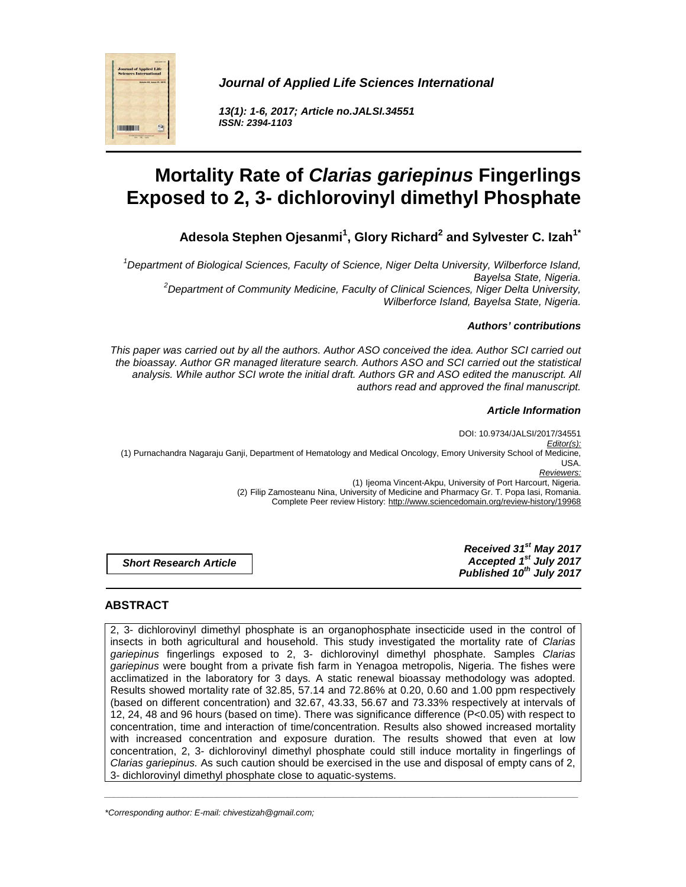

**Journal of Applied Life Sciences International** 

**13(1): 1-6, 2017; Article no.JALSI.34551 ISSN: 2394-1103** 

# **Mortality Rate of Clarias gariepinus Fingerlings Exposed to 2, 3- dichlorovinyl dimethyl Phosphate**

**Adesola Stephen Ojesanmi<sup>1</sup> , Glory Richard<sup>2</sup> and Sylvester C. Izah1\***

<sup>1</sup>Department of Biological Sciences, Faculty of Science, Niger Delta University, Wilberforce Island, Bayelsa State, Nigeria.  $2$ Department of Community Medicine, Faculty of Clinical Sciences, Niger Delta University, Wilberforce Island, Bayelsa State, Nigeria.

# **Authors' contributions**

This paper was carried out by all the authors. Author ASO conceived the idea. Author SCI carried out the bioassay. Author GR managed literature search. Authors ASO and SCI carried out the statistical analysis. While author SCI wrote the initial draft. Authors GR and ASO edited the manuscript. All authors read and approved the final manuscript.

## **Article Information**

DOI: 10.9734/JALSI/2017/34551 Editor(s): (1) Purnachandra Nagaraju Ganji, Department of Hematology and Medical Oncology, Emory University School of Medicine, USA. Reviewers: (1) Ijeoma Vincent-Akpu, University of Port Harcourt, Nigeria. (2) Filip Zamosteanu Nina, University of Medicine and Pharmacy Gr. T. Popa Iasi, Romania. Complete Peer review History: http://www.sciencedomain.org/review-history/19968

**Short Research Article** 

**Received 31st May 2017 Accepted 1st July 2017 Published 10th July 2017**

# **ABSTRACT**

2, 3- dichlorovinyl dimethyl phosphate is an organophosphate insecticide used in the control of insects in both agricultural and household. This study investigated the mortality rate of Clarias gariepinus fingerlings exposed to 2, 3- dichlorovinyl dimethyl phosphate. Samples Clarias gariepinus were bought from a private fish farm in Yenagoa metropolis, Nigeria. The fishes were acclimatized in the laboratory for 3 days. A static renewal bioassay methodology was adopted. Results showed mortality rate of 32.85, 57.14 and 72.86% at 0.20, 0.60 and 1.00 ppm respectively (based on different concentration) and 32.67, 43.33, 56.67 and 73.33% respectively at intervals of 12, 24, 48 and 96 hours (based on time). There was significance difference (P<0.05) with respect to concentration, time and interaction of time/concentration. Results also showed increased mortality with increased concentration and exposure duration. The results showed that even at low concentration, 2, 3- dichlorovinyl dimethyl phosphate could still induce mortality in fingerlings of Clarias gariepinus. As such caution should be exercised in the use and disposal of empty cans of 2, 3- dichlorovinyl dimethyl phosphate close to aquatic-systems.

\_\_\_\_\_\_\_\_\_\_\_\_\_\_\_\_\_\_\_\_\_\_\_\_\_\_\_\_\_\_\_\_\_\_\_\_\_\_\_\_\_\_\_\_\_\_\_\_\_\_\_\_\_\_\_\_\_\_\_\_\_\_\_\_\_\_\_\_\_\_\_\_\_\_\_\_\_\_\_\_\_\_\_\_\_\_\_\_\_\_\_\_\_\_\_\_\_\_\_\_\_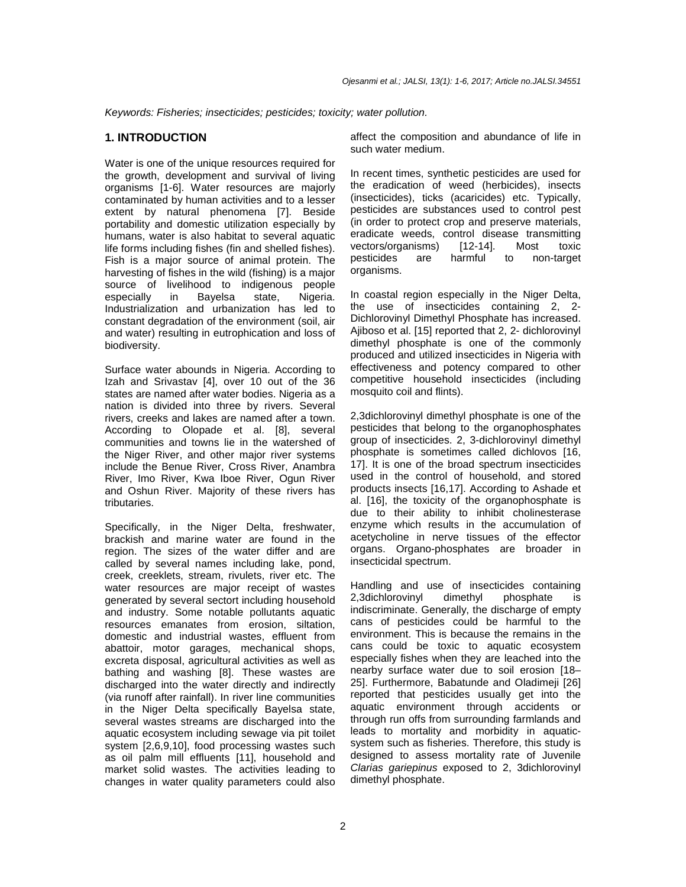Keywords: Fisheries; insecticides; pesticides; toxicity; water pollution.

#### **1. INTRODUCTION**

Water is one of the unique resources required for the growth, development and survival of living organisms [1-6]. Water resources are majorly contaminated by human activities and to a lesser extent by natural phenomena [7]. Beside portability and domestic utilization especially by humans, water is also habitat to several aquatic life forms including fishes (fin and shelled fishes). Fish is a major source of animal protein. The harvesting of fishes in the wild (fishing) is a major source of livelihood to indigenous people especially in Bayelsa state, Nigeria. Industrialization and urbanization has led to constant degradation of the environment (soil, air and water) resulting in eutrophication and loss of biodiversity.

Surface water abounds in Nigeria. According to Izah and Srivastav [4], over 10 out of the 36 states are named after water bodies. Nigeria as a nation is divided into three by rivers. Several rivers, creeks and lakes are named after a town. According to Olopade et al. [8], several communities and towns lie in the watershed of the Niger River, and other major river systems include the Benue River, Cross River, Anambra River, Imo River, Kwa Iboe River, Ogun River and Oshun River. Majority of these rivers has tributaries.

Specifically, in the Niger Delta, freshwater, brackish and marine water are found in the region. The sizes of the water differ and are called by several names including lake, pond, creek, creeklets, stream, rivulets, river etc. The water resources are major receipt of wastes generated by several sectort including household and industry. Some notable pollutants aquatic resources emanates from erosion, siltation, domestic and industrial wastes, effluent from abattoir, motor garages, mechanical shops, excreta disposal, agricultural activities as well as bathing and washing [8]. These wastes are discharged into the water directly and indirectly (via runoff after rainfall). In river line communities in the Niger Delta specifically Bayelsa state, several wastes streams are discharged into the aquatic ecosystem including sewage via pit toilet system [2,6,9,10], food processing wastes such as oil palm mill effluents [11], household and market solid wastes. The activities leading to changes in water quality parameters could also

affect the composition and abundance of life in such water medium.

In recent times, synthetic pesticides are used for the eradication of weed (herbicides), insects (insecticides), ticks (acaricides) etc. Typically, pesticides are substances used to control pest (in order to protect crop and preserve materials, eradicate weeds, control disease transmitting vectors/organisms) [12-14]. Most toxic pesticides are harmful to non-target organisms.

In coastal region especially in the Niger Delta, the use of insecticides containing 2, 2- Dichlorovinyl Dimethyl Phosphate has increased. Ajiboso et al. [15] reported that 2, 2- dichlorovinyl dimethyl phosphate is one of the commonly produced and utilized insecticides in Nigeria with effectiveness and potency compared to other competitive household insecticides (including mosquito coil and flints).

2,3dichlorovinyl dimethyl phosphate is one of the pesticides that belong to the organophosphates group of insecticides. 2, 3-dichlorovinyl dimethyl phosphate is sometimes called dichlovos [16, 17]. It is one of the broad spectrum insecticides used in the control of household, and stored products insects [16,17]. According to Ashade et al. [16], the toxicity of the organophosphate is due to their ability to inhibit cholinesterase enzyme which results in the accumulation of acetycholine in nerve tissues of the effector organs. Organo-phosphates are broader in insecticidal spectrum.

Handling and use of insecticides containing 2,3dichlorovinyl dimethyl phosphate is indiscriminate. Generally, the discharge of empty cans of pesticides could be harmful to the environment. This is because the remains in the cans could be toxic to aquatic ecosystem especially fishes when they are leached into the nearby surface water due to soil erosion [18– 25]. Furthermore, Babatunde and Oladimeji [26] reported that pesticides usually get into the aquatic environment through accidents or through run offs from surrounding farmlands and leads to mortality and morbidity in aquaticsystem such as fisheries. Therefore, this study is designed to assess mortality rate of Juvenile Clarias gariepinus exposed to 2, 3dichlorovinyl dimethyl phosphate.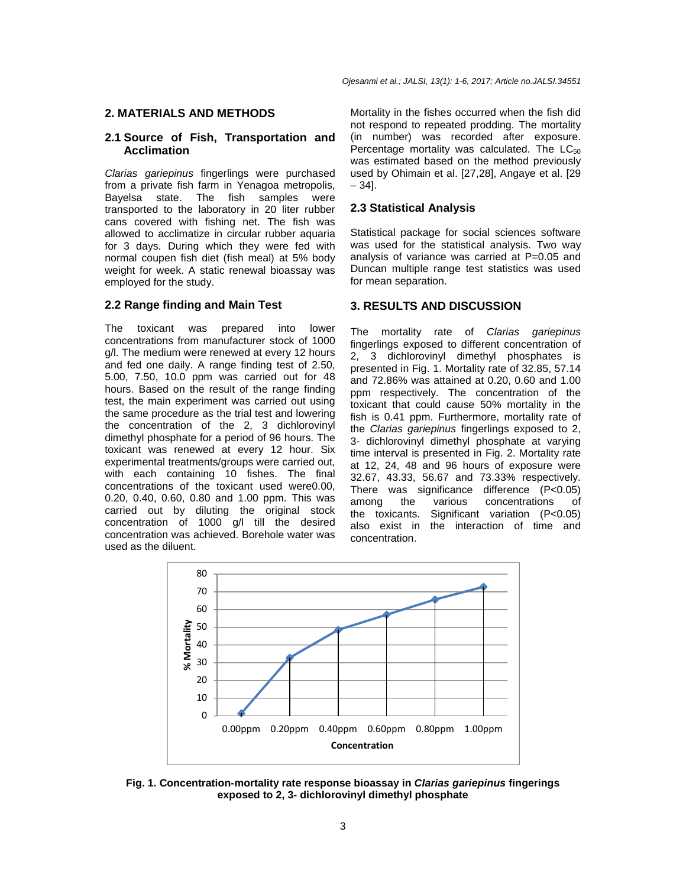### **2. MATERIALS AND METHODS**

#### **2.1 Source of Fish, Transportation and Acclimation**

Clarias gariepinus fingerlings were purchased from a private fish farm in Yenagoa metropolis, Bayelsa state. The fish samples were transported to the laboratory in 20 liter rubber cans covered with fishing net. The fish was allowed to acclimatize in circular rubber aquaria for 3 days. During which they were fed with normal coupen fish diet (fish meal) at 5% body weight for week. A static renewal bioassay was employed for the study.

#### **2.2 Range finding and Main Test**

The toxicant was prepared into lower concentrations from manufacturer stock of 1000 g/l. The medium were renewed at every 12 hours and fed one daily. A range finding test of 2.50, 5.00, 7.50, 10.0 ppm was carried out for 48 hours. Based on the result of the range finding test, the main experiment was carried out using the same procedure as the trial test and lowering the concentration of the 2, 3 dichlorovinyl dimethyl phosphate for a period of 96 hours. The toxicant was renewed at every 12 hour. Six experimental treatments/groups were carried out, with each containing 10 fishes. The final concentrations of the toxicant used were0.00, 0.20, 0.40, 0.60, 0.80 and 1.00 ppm. This was carried out by diluting the original stock concentration of 1000 g/l till the desired concentration was achieved. Borehole water was used as the diluent.

Mortality in the fishes occurred when the fish did not respond to repeated prodding. The mortality (in number) was recorded after exposure. Percentage mortality was calculated. The  $LC_{50}$ was estimated based on the method previously used by Ohimain et al. [27,28], Angaye et al. [29 – 34].

#### **2.3 Statistical Analysis**

Statistical package for social sciences software was used for the statistical analysis. Two way analysis of variance was carried at P=0.05 and Duncan multiple range test statistics was used for mean separation.

#### **3. RESULTS AND DISCUSSION**

The mortality rate of Clarias gariepinus fingerlings exposed to different concentration of 2, 3 dichlorovinyl dimethyl phosphates is presented in Fig. 1. Mortality rate of 32.85, 57.14 and 72.86% was attained at 0.20, 0.60 and 1.00 ppm respectively. The concentration of the toxicant that could cause 50% mortality in the fish is 0.41 ppm. Furthermore, mortality rate of the Clarias gariepinus fingerlings exposed to 2, 3- dichlorovinyl dimethyl phosphate at varying time interval is presented in Fig. 2. Mortality rate at 12, 24, 48 and 96 hours of exposure were 32.67, 43.33, 56.67 and 73.33% respectively. There was significance difference (P<0.05) among the various concentrations of the toxicants. Significant variation (P<0.05) also exist in the interaction of time and concentration.



**Fig. 1. Concentration-mortality rate response bioassay in Clarias gariepinus fingerings exposed to 2, 3- dichlorovinyl dimethyl phosphate**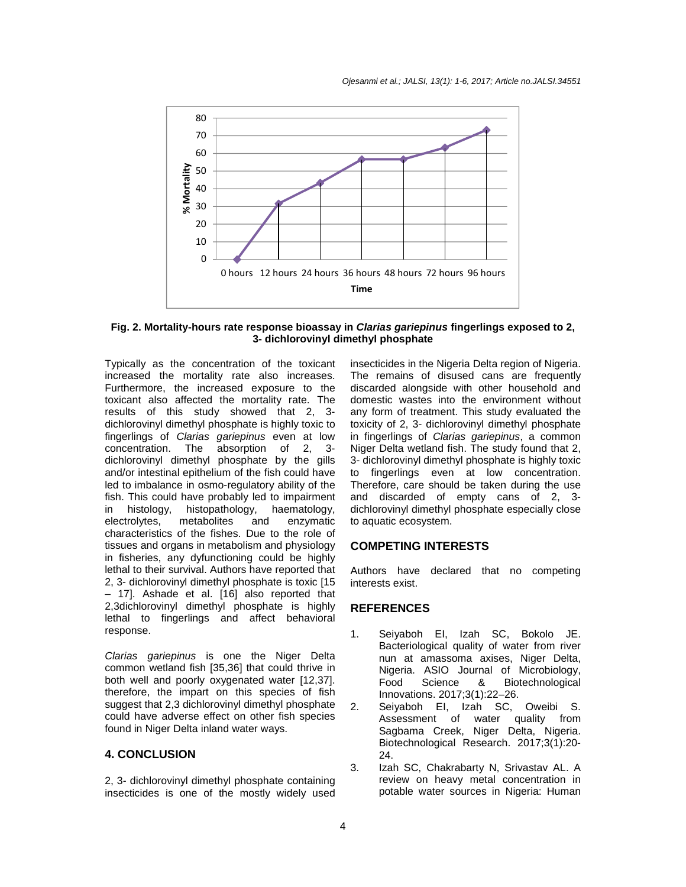

**Fig. 2. Mortality-hours rate response bioassay in Clarias gariepinus fingerlings exposed to 2, 3- dichlorovinyl dimethyl phosphate** 

Typically as the concentration of the toxicant increased the mortality rate also increases. Furthermore, the increased exposure to the toxicant also affected the mortality rate. The results of this study showed that 2, 3 dichlorovinyl dimethyl phosphate is highly toxic to fingerlings of Clarias gariepinus even at low concentration. The absorption of 2, 3 dichlorovinyl dimethyl phosphate by the gills and/or intestinal epithelium of the fish could have led to imbalance in osmo-regulatory ability of the fish. This could have probably led to impairment in histology, histopathology, haematology, electrolytes, metabolites and enzymatic characteristics of the fishes. Due to the role of tissues and organs in metabolism and physiology in fisheries, any dyfunctioning could be highly lethal to their survival. Authors have reported that 2, 3- dichlorovinyl dimethyl phosphate is toxic [15 – 17]. Ashade et al. [16] also reported that 2,3dichlorovinyl dimethyl phosphate is highly lethal to fingerlings and affect behavioral response.

Clarias gariepinus is one the Niger Delta common wetland fish [35,36] that could thrive in both well and poorly oxygenated water [12,37]. therefore, the impart on this species of fish suggest that 2,3 dichlorovinyl dimethyl phosphate could have adverse effect on other fish species found in Niger Delta inland water ways.

## **4. CONCLUSION**

2, 3- dichlorovinyl dimethyl phosphate containing insecticides is one of the mostly widely used insecticides in the Nigeria Delta region of Nigeria. The remains of disused cans are frequently discarded alongside with other household and domestic wastes into the environment without any form of treatment. This study evaluated the toxicity of 2, 3- dichlorovinyl dimethyl phosphate in fingerlings of Clarias gariepinus, a common Niger Delta wetland fish. The study found that 2, 3- dichlorovinyl dimethyl phosphate is highly toxic to fingerlings even at low concentration. Therefore, care should be taken during the use and discarded of empty cans of 2, 3 dichlorovinyl dimethyl phosphate especially close to aquatic ecosystem.

#### **COMPETING INTERESTS**

Authors have declared that no competing interests exist.

#### **REFERENCES**

- 1. Seiyaboh EI, Izah SC, Bokolo JE. Bacteriological quality of water from river nun at amassoma axises, Niger Delta, Nigeria. ASIO Journal of Microbiology, Food Science & Biotechnological Innovations. 2017;3(1):22–26.
- 2. Seiyaboh EI, Izah SC, Oweibi S. Assessment of water quality from Sagbama Creek, Niger Delta, Nigeria. Biotechnological Research. 2017;3(1):20- 24.
- 3. Izah SC, Chakrabarty N, Srivastav AL. A review on heavy metal concentration in potable water sources in Nigeria: Human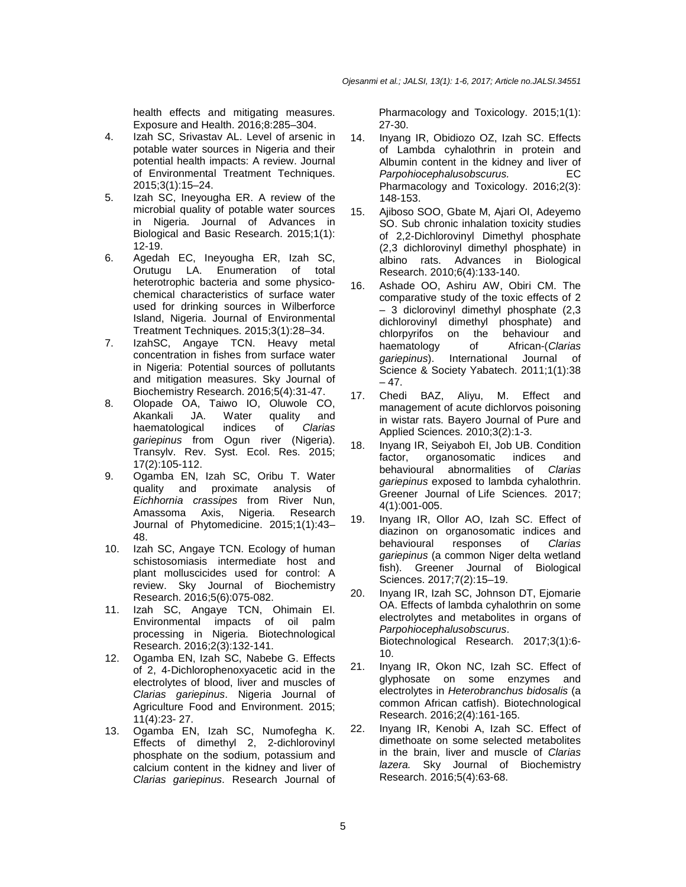health effects and mitigating measures. Exposure and Health. 2016;8:285–304.

- 4. Izah SC, Srivastav AL. Level of arsenic in potable water sources in Nigeria and their potential health impacts: A review. Journal of Environmental Treatment Techniques. 2015;3(1):15–24.
- 5. Izah SC, Ineyougha ER. A review of the microbial quality of potable water sources in Nigeria. Journal of Advances in Biological and Basic Research. 2015;1(1): 12-19.
- 6. Agedah EC, Ineyougha ER, Izah SC, Orutugu LA. Enumeration of total heterotrophic bacteria and some physicochemical characteristics of surface water used for drinking sources in Wilberforce Island, Nigeria. Journal of Environmental Treatment Techniques. 2015;3(1):28–34.
- 7. IzahSC, Angaye TCN. Heavy metal concentration in fishes from surface water in Nigeria: Potential sources of pollutants and mitigation measures. Sky Journal of Biochemistry Research. 2016;5(4):31-47.
- 8. Olopade OA, Taiwo IO, Oluwole CO, Akankali JA. Water quality and haematological indices of Clarias gariepinus from Ogun river (Nigeria). Transylv. Rev. Syst. Ecol. Res. 2015; 17(2):105-112.
- 9. Ogamba EN, Izah SC, Oribu T. Water quality and proximate analysis of Eichhornia crassipes from River Nun, Amassoma Axis, Nigeria. Research Journal of Phytomedicine. 2015;1(1):43– 48.
- 10. Izah SC, Angaye TCN. Ecology of human schistosomiasis intermediate host and plant molluscicides used for control: A review. Sky Journal of Biochemistry Research. 2016;5(6):075-082.
- 11. Izah SC, Angaye TCN, Ohimain EI. Environmental impacts of oil palm processing in Nigeria. Biotechnological Research. 2016;2(3):132-141.
- 12. Ogamba EN, Izah SC, Nabebe G. Effects of 2, 4-Dichlorophenoxyacetic acid in the electrolytes of blood, liver and muscles of Clarias gariepinus. Nigeria Journal of Agriculture Food and Environment. 2015; 11(4):23- 27.
- 13. Ogamba EN, Izah SC, Numofegha K. Effects of dimethyl 2, 2-dichlorovinyl phosphate on the sodium, potassium and calcium content in the kidney and liver of Clarias gariepinus. Research Journal of

Pharmacology and Toxicology. 2015;1(1): 27-30.

- 14. Inyang IR, Obidiozo OZ, Izah SC. Effects of Lambda cyhalothrin in protein and Albumin content in the kidney and liver of Parpohiocephalusobscurus. EC Pharmacology and Toxicology. 2016;2(3): 148-153.
- 15. Ajiboso SOO, Gbate M, Ajari OI, Adeyemo SO. Sub chronic inhalation toxicity studies of 2,2-Dichlorovinyl Dimethyl phosphate (2,3 dichlorovinyl dimethyl phosphate) in albino rats. Advances in Biological Research. 2010;6(4):133-140.
- 16. Ashade OO, Ashiru AW, Obiri CM. The comparative study of the toxic effects of 2 – 3 diclorovinyl dimethyl phosphate (2,3 dichlorovinyl dimethyl phosphate) and chlorpyrifos on the behaviour and<br>haematology of African-(Clarias of African-(Clarias gariepinus). International Journal of Science & Society Yabatech. 2011;1(1):38  $-47.$
- 17. Chedi BAZ, Aliyu, M. Effect and management of acute dichlorvos poisoning in wistar rats. Bayero Journal of Pure and Applied Sciences. 2010;3(2):1-3.
- 18. Inyang IR, Seiyaboh EI, Job UB. Condition factor, organosomatic indices and behavioural abnormalities of Clarias gariepinus exposed to lambda cyhalothrin. Greener Journal of Life Sciences. 2017; 4(1):001-005.
- 19. Inyang IR, Ollor AO, Izah SC. Effect of diazinon on organosomatic indices and behavioural responses of Clarias gariepinus (a common Niger delta wetland fish). Greener Journal of Biological Sciences. 2017;7(2):15–19.
- 20. Inyang IR, Izah SC, Johnson DT, Ejomarie OA. Effects of lambda cyhalothrin on some electrolytes and metabolites in organs of Parpohiocephalusobscurus. Biotechnological Research. 2017;3(1):6- 10.
- 21. Inyang IR, Okon NC, Izah SC. Effect of glyphosate on some enzymes and electrolytes in Heterobranchus bidosalis (a common African catfish). Biotechnological Research. 2016;2(4):161-165.
- 22. Inyang IR, Kenobi A, Izah SC. Effect of dimethoate on some selected metabolites in the brain, liver and muscle of Clarias lazera. Sky Journal of Biochemistry Research. 2016;5(4):63-68.